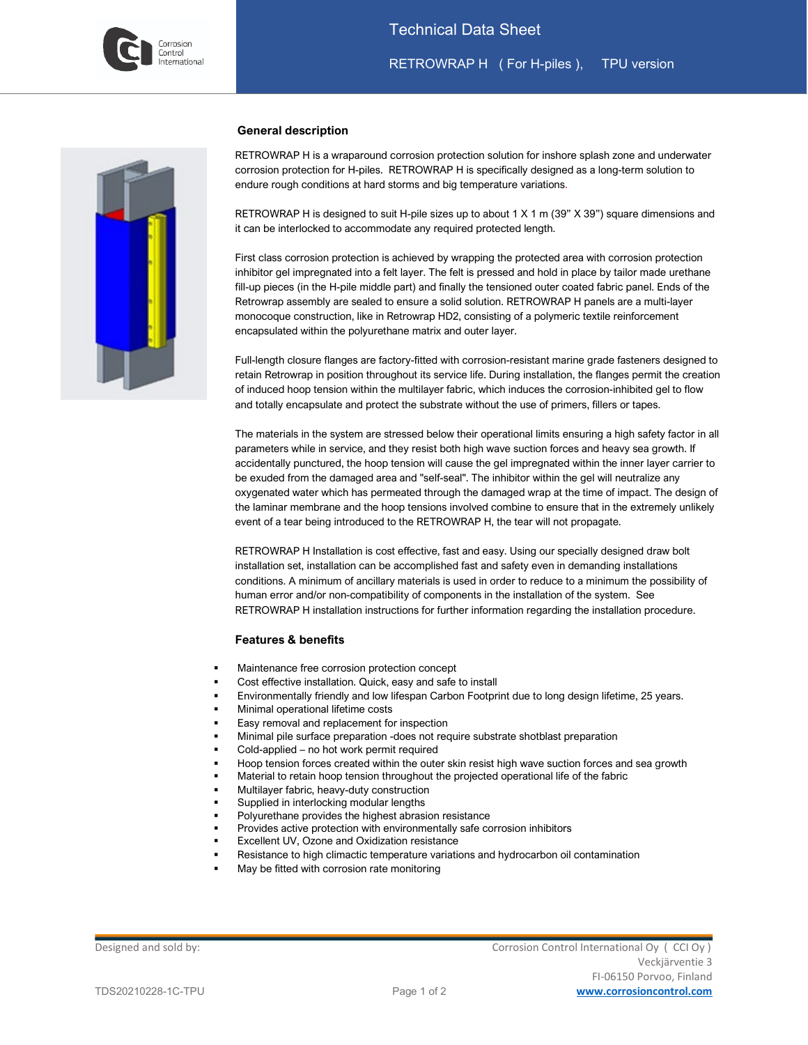

### Technical Data Sheet

RETROWRAP H ( For H-piles ), TPU version

l



#### **General description**

RETROWRAP H is a wraparound corrosion protection solution for inshore splash zone and underwater corrosion protection for H-piles. RETROWRAP H is specifically designed as a long-term solution to endure rough conditions at hard storms and big temperature variations.

RETROWRAP H is designed to suit H-pile sizes up to about 1 X 1 m (39" X 39") square dimensions and it can be interlocked to accommodate any required protected length.

First class corrosion protection is achieved by wrapping the protected area with corrosion protection inhibitor gel impregnated into a felt layer. The felt is pressed and hold in place by tailor made urethane fill-up pieces (in the H-pile middle part) and finally the tensioned outer coated fabric panel. Ends of the Retrowrap assembly are sealed to ensure a solid solution. RETROWRAP H panels are a multi-layer monocoque construction, like in Retrowrap HD2, consisting of a polymeric textile reinforcement encapsulated within the polyurethane matrix and outer layer.

Full-length closure flanges are factory-fitted with corrosion-resistant marine grade fasteners designed to retain Retrowrap in position throughout its service life. During installation, the flanges permit the creation of induced hoop tension within the multilayer fabric, which induces the corrosion-inhibited gel to flow and totally encapsulate and protect the substrate without the use of primers, fillers or tapes.

The materials in the system are stressed below their operational limits ensuring a high safety factor in all parameters while in service, and they resist both high wave suction forces and heavy sea growth. If accidentally punctured, the hoop tension will cause the gel impregnated within the inner layer carrier to be exuded from the damaged area and "self-seal". The inhibitor within the gel will neutralize any oxygenated water which has permeated through the damaged wrap at the time of impact. The design of the laminar membrane and the hoop tensions involved combine to ensure that in the extremely unlikely event of a tear being introduced to the RETROWRAP H, the tear will not propagate.

RETROWRAP H Installation is cost effective, fast and easy. Using our specially designed draw bolt installation set, installation can be accomplished fast and safety even in demanding installations conditions. A minimum of ancillary materials is used in order to reduce to a minimum the possibility of human error and/or non-compatibility of components in the installation of the system. See RETROWRAP H installation instructions for further information regarding the installation procedure.

#### **Features & benefits**

- Maintenance free corrosion protection concept
- Cost effective installation. Quick, easy and safe to install
- Environmentally friendly and low lifespan Carbon Footprint due to long design lifetime, 25 years.
- Minimal operational lifetime costs
- Easy removal and replacement for inspection
- Minimal pile surface preparation -does not require substrate shotblast preparation
- Cold-applied no hot work permit required
- Hoop tension forces created within the outer skin resist high wave suction forces and sea growth
- Material to retain hoop tension throughout the projected operational life of the fabric
- Multilayer fabric, heavy-duty construction
- Supplied in interlocking modular lengths
- Polyurethane provides the highest abrasion resistance
- Provides active protection with environmentally safe corrosion inhibitors
- Excellent UV, Ozone and Oxidization resistance
- Resistance to high climactic temperature variations and hydrocarbon oil contamination
- May be fitted with corrosion rate monitoring